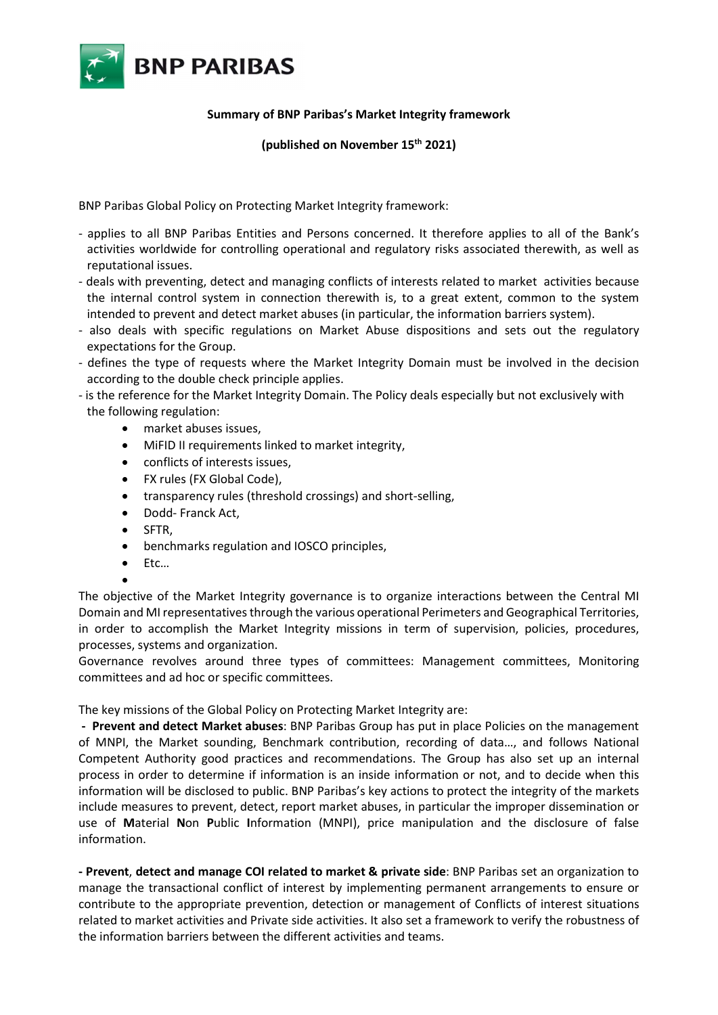

## Summary of BNP Paribas's Market Integrity framework

(published on November 15th 2021)

BNP Paribas Global Policy on Protecting Market Integrity framework:

- applies to all BNP Paribas Entities and Persons concerned. It therefore applies to all of the Bank's activities worldwide for controlling operational and regulatory risks associated therewith, as well as reputational issues.
- deals with preventing, detect and managing conflicts of interests related to market activities because the internal control system in connection therewith is, to a great extent, common to the system intended to prevent and detect market abuses (in particular, the information barriers system).
- also deals with specific regulations on Market Abuse dispositions and sets out the regulatory expectations for the Group.
- defines the type of requests where the Market Integrity Domain must be involved in the decision according to the double check principle applies.
- is the reference for the Market Integrity Domain. The Policy deals especially but not exclusively with the following regulation:
	- market abuses issues,
	- MiFID II requirements linked to market integrity,
	- conflicts of interests issues,
	- FX rules (FX Global Code),
	- transparency rules (threshold crossings) and short-selling,
	- Dodd- Franck Act,
	- SFTR,
	- benchmarks regulation and IOSCO principles,
	- Etc…

 $\bullet$ The objective of the Market Integrity governance is to organize interactions between the Central MI Domain and MI representatives through the various operational Perimeters and Geographical Territories, in order to accomplish the Market Integrity missions in term of supervision, policies, procedures, processes, systems and organization.

Governance revolves around three types of committees: Management committees, Monitoring committees and ad hoc or specific committees.

The key missions of the Global Policy on Protecting Market Integrity are:

- Prevent and detect Market abuses: BNP Paribas Group has put in place Policies on the management of MNPI, the Market sounding, Benchmark contribution, recording of data…, and follows National Competent Authority good practices and recommendations. The Group has also set up an internal process in order to determine if information is an inside information or not, and to decide when this information will be disclosed to public. BNP Paribas's key actions to protect the integrity of the markets include measures to prevent, detect, report market abuses, in particular the improper dissemination or use of Material Non Public Information (MNPI), price manipulation and the disclosure of false information.

- Prevent, detect and manage COI related to market & private side: BNP Paribas set an organization to manage the transactional conflict of interest by implementing permanent arrangements to ensure or contribute to the appropriate prevention, detection or management of Conflicts of interest situations related to market activities and Private side activities. It also set a framework to verify the robustness of the information barriers between the different activities and teams.